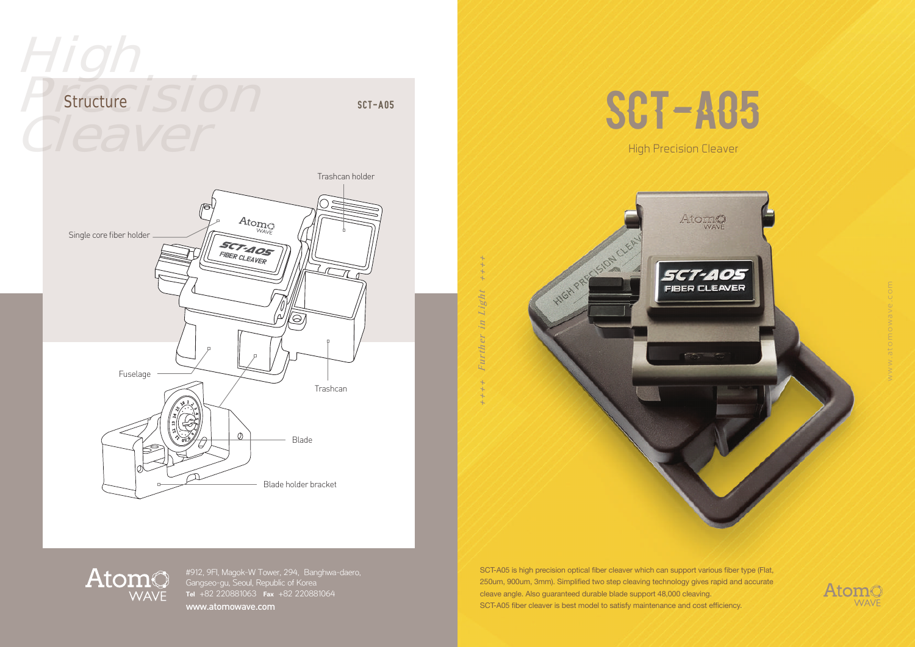



 $+++$  Further in Light  $-++$ 

Ligh

SCT-A05 is high precision optical fiber cleaver which can support various fiber type (Flat, 250um, 900um, 3mm). Simplified two step cleaving technology gives rapid and accurate cleave angle. Also guaranteed durable blade support 48,000 cleaving. SCT-A05 fiber cleaver is best model to satisfy maintenance and cost efficiency.



## AtomO

#912, 9Fl, Magok-W Tower, 294, Banghwa-daero, Gangseo-gu, Seoul, Republic of Korea www.atomowave.com

Atomo **WAVE**